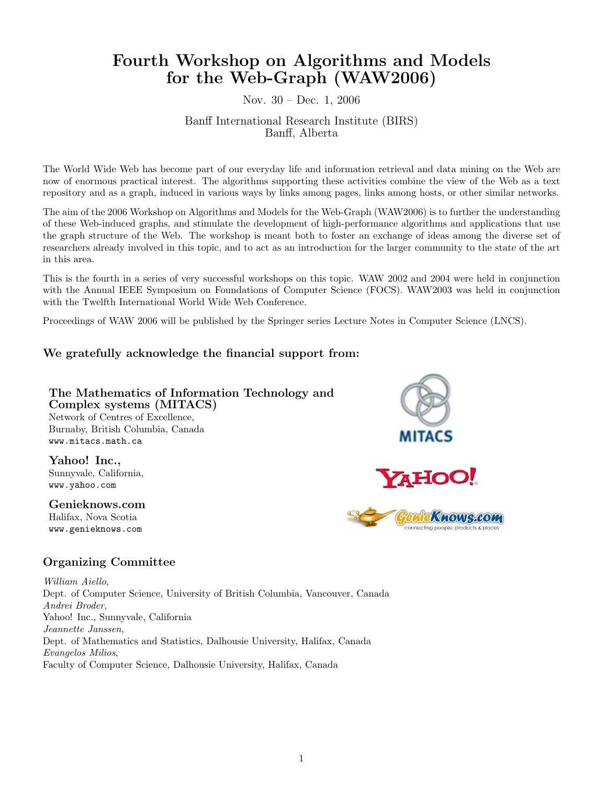# Fourth Workshop on Algorithms and Models for the Web-Graph (WAW2006)

### Nov. 30 – Dec. 1, 2006

### Banff International Research Institute (BIRS) Banff, Alberta

The World Wide Web has become part of our everyday life and information retrieval and data mining on the Web are now of enormous practical interest. The algorithms supporting these activities combine the view of the Web as a text repository and as a graph, induced in various ways by links among pages, links among hosts, or other similar networks.

The aim of the 2006 Workshop on Algorithms and Models for the Web-Graph (WAW2006) is to further the understanding of these Web-induced graphs, and stimulate the development of high-performance algorithms and applications that use the graph structure of the Web. The workshop is meant both to foster an exchange of ideas among the diverse set of researchers already involved in this topic, and to act as an introduction for the larger community to the state of the art in this area.

This is the fourth in a series of very successful workshops on this topic. WAW 2002 and 2004 were held in conjunction with the Annual IEEE Symposium on Foundations of Computer Science (FOCS). WAW2003 was held in conjunction with the Twelfth International World Wide Web Conference.

Proceedings of WAW 2006 will be published by the Springer series Lecture Notes in Computer Science (LNCS).

# We gratefully acknowledge the financial support from:

#### The Mathematics of Information Technology and Complex systems (MITACS) Network of Centres of Excellence, Burnaby, British Columbia, Canada www.mitacs.math.ca

Yahoo! Inc., Sunnyvale, California, www.yahoo.com

Genieknows.com Halifax, Nova Scotia www.genieknows.com



# Organizing Committee

William Aiello, Dept. of Computer Science, University of British Columbia, Vancouver, Canada Andrei Broder, Yahoo! Inc., Sunnyvale, California Jeannette Janssen, Dept. of Mathematics and Statistics, Dalhousie University, Halifax, Canada Evangelos Milios, Faculty of Computer Science, Dalhousie University, Halifax, Canada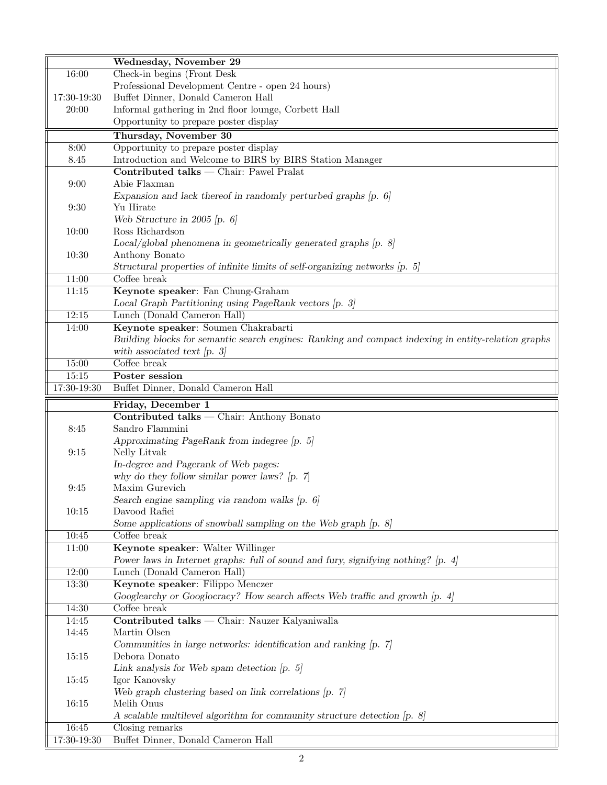|             | Wednesday, November 29                                                                              |
|-------------|-----------------------------------------------------------------------------------------------------|
| 16:00       | Check-in begins (Front Desk                                                                         |
|             | Professional Development Centre - open 24 hours)                                                    |
| 17:30-19:30 | Buffet Dinner, Donald Cameron Hall                                                                  |
| 20:00       | Informal gathering in 2nd floor lounge, Corbett Hall                                                |
|             | Opportunity to prepare poster display                                                               |
|             | Thursday, November 30                                                                               |
| 8:00        | Opportunity to prepare poster display                                                               |
| 8.45        | Introduction and Welcome to BIRS by BIRS Station Manager                                            |
|             | $Control$ talks $-$ Chair: Pawel Pralat                                                             |
| 9:00        | Abie Flaxman                                                                                        |
|             | Expansion and lack thereof in randomly perturbed graphs $[p, 6]$                                    |
| 9:30        | Yu Hirate                                                                                           |
|             | Web Structure in 2005 [p. $6$ ]                                                                     |
| 10:00       | Ross Richardson                                                                                     |
|             | $Local/global$ phenomena in geometrically generated graphs $[p. 8]$                                 |
| 10:30       | Anthony Bonato                                                                                      |
|             | Structural properties of infinite limits of self-organizing networks [p. 5]                         |
| 11:00       | Coffee break                                                                                        |
| 11:15       | Keynote speaker: Fan Chung-Graham                                                                   |
|             | Local Graph Partitioning using PageRank vectors [p. 3]                                              |
| 12:15       | Lunch (Donald Cameron Hall)                                                                         |
|             |                                                                                                     |
| 14:00       | Keynote speaker: Soumen Chakrabarti                                                                 |
|             | Building blocks for semantic search engines: Ranking and compact indexing in entity-relation graphs |
|             | with associated text $[p, 3]$                                                                       |
| 15:00       | Coffee break                                                                                        |
| 15:15       | Poster session                                                                                      |
| 17:30-19:30 | Buffet Dinner, Donald Cameron Hall                                                                  |
|             | Friday, December 1                                                                                  |
|             | Contributed talks - Chair: Anthony Bonato                                                           |
| 8:45        | Sandro Flammini                                                                                     |
|             | Approximating PageRank from indegree $[p. 5]$                                                       |
| 9:15        | Nelly Litvak                                                                                        |
|             | In-degree and Pagerank of Web pages:                                                                |
|             | why do they follow similar power laws? $[p, 7]$                                                     |
| 9:45        | Maxim Gurevich                                                                                      |
|             | Search engine sampling via random walks $[p, 6]$                                                    |
| 10:15       | Davood Rafiei                                                                                       |
|             | Some applications of snowball sampling on the Web graph $[p, 8]$                                    |
| 10:45       | Coffee break                                                                                        |
| 11:00       | Keynote speaker: Walter Willinger                                                                   |
|             | Power laws in Internet graphs: full of sound and fury, signifying nothing? [p. 4]                   |
| 12:00       | Lunch (Donald Cameron Hall)                                                                         |
| $13:30\,$   | Keynote speaker: Filippo Menczer                                                                    |
|             | Googlearchy or Googlocracy? How search affects Web traffic and growth [p. 4]                        |
| 14:30       | Coffee break                                                                                        |
| 14:45       | Contributed talks — Chair: Nauzer Kalyaniwalla                                                      |
| 14:45       | Martin Olsen                                                                                        |
|             | Communities in large networks: identification and ranking [p. 7]                                    |
| 15:15       | Debora Donato                                                                                       |
|             | Link analysis for Web spam detection $[p, 5]$                                                       |
| 15:45       | Igor Kanovsky                                                                                       |
|             | Web graph clustering based on link correlations $[p, 7]$                                            |
| 16:15       | Melih Onus                                                                                          |
|             |                                                                                                     |
|             |                                                                                                     |
| 16:45       | A scalable multilevel algorithm for community structure detection [p. 8]<br>Closing remarks         |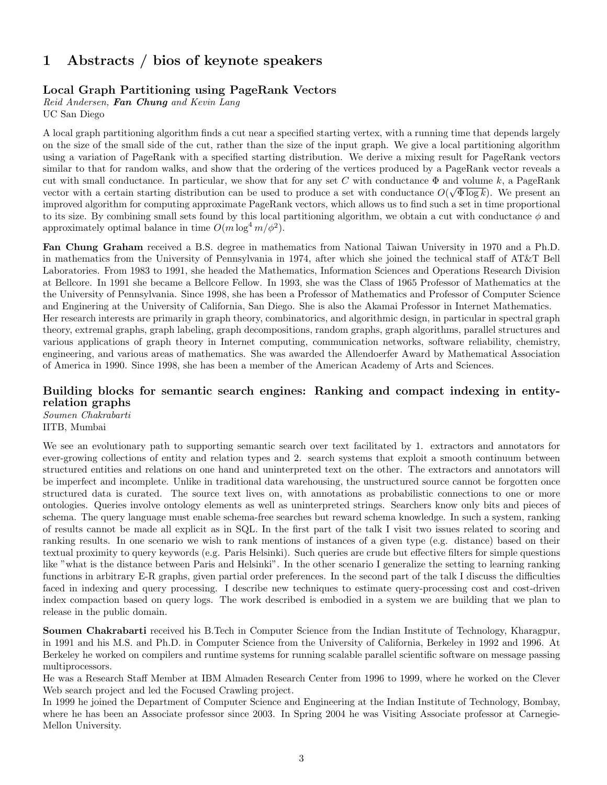# 1 Abstracts / bios of keynote speakers

### Local Graph Partitioning using PageRank Vectors

Reid Andersen, Fan Chung and Kevin Lang

UC San Diego

A local graph partitioning algorithm finds a cut near a specified starting vertex, with a running time that depends largely on the size of the small side of the cut, rather than the size of the input graph. We give a local partitioning algorithm using a variation of PageRank with a specified starting distribution. We derive a mixing result for PageRank vectors similar to that for random walks, and show that the ordering of the vertices produced by a PageRank vector reveals a cut with small conductance. In particular, we show that for any set C with conductance  $\Phi$  and volume k, a PageRank vector with a certain starting distribution can be used to produce a set with conductance  $O(\sqrt{\Phi \log k})$ . We present an improved algorithm for computing approximate PageRank vectors, which allows us to find such a set in time proportional to its size. By combining small sets found by this local partitioning algorithm, we obtain a cut with conductance  $\phi$  and approximately optimal balance in time  $O(m \log^4 m / \phi^2)$ .

Fan Chung Graham received a B.S. degree in mathematics from National Taiwan University in 1970 and a Ph.D. in mathematics from the University of Pennsylvania in 1974, after which she joined the technical staff of AT&T Bell Laboratories. From 1983 to 1991, she headed the Mathematics, Information Sciences and Operations Research Division at Bellcore. In 1991 she became a Bellcore Fellow. In 1993, she was the Class of 1965 Professor of Mathematics at the the University of Pennsylvania. Since 1998, she has been a Professor of Mathematics and Professor of Computer Science and Enginering at the University of California, San Diego. She is also the Akamai Professor in Internet Mathematics. Her research interests are primarily in graph theory, combinatorics, and algorithmic design, in particular in spectral graph theory, extremal graphs, graph labeling, graph decompositions, random graphs, graph algorithms, parallel structures and various applications of graph theory in Internet computing, communication networks, software reliability, chemistry, engineering, and various areas of mathematics. She was awarded the Allendoerfer Award by Mathematical Association of America in 1990. Since 1998, she has been a member of the American Academy of Arts and Sciences.

# Building blocks for semantic search engines: Ranking and compact indexing in entityrelation graphs

Soumen Chakrabarti IITB, Mumbai

We see an evolutionary path to supporting semantic search over text facilitated by 1. extractors and annotators for ever-growing collections of entity and relation types and 2. search systems that exploit a smooth continuum between structured entities and relations on one hand and uninterpreted text on the other. The extractors and annotators will be imperfect and incomplete. Unlike in traditional data warehousing, the unstructured source cannot be forgotten once structured data is curated. The source text lives on, with annotations as probabilistic connections to one or more ontologies. Queries involve ontology elements as well as uninterpreted strings. Searchers know only bits and pieces of schema. The query language must enable schema-free searches but reward schema knowledge. In such a system, ranking of results cannot be made all explicit as in SQL. In the first part of the talk I visit two issues related to scoring and ranking results. In one scenario we wish to rank mentions of instances of a given type (e.g. distance) based on their textual proximity to query keywords (e.g. Paris Helsinki). Such queries are crude but effective filters for simple questions like "what is the distance between Paris and Helsinki". In the other scenario I generalize the setting to learning ranking functions in arbitrary E-R graphs, given partial order preferences. In the second part of the talk I discuss the difficulties faced in indexing and query processing. I describe new techniques to estimate query-processing cost and cost-driven index compaction based on query logs. The work described is embodied in a system we are building that we plan to release in the public domain.

Soumen Chakrabarti received his B.Tech in Computer Science from the Indian Institute of Technology, Kharagpur, in 1991 and his M.S. and Ph.D. in Computer Science from the University of California, Berkeley in 1992 and 1996. At Berkeley he worked on compilers and runtime systems for running scalable parallel scientific software on message passing multiprocessors.

He was a Research Staff Member at IBM Almaden Research Center from 1996 to 1999, where he worked on the Clever Web search project and led the Focused Crawling project.

In 1999 he joined the Department of Computer Science and Engineering at the Indian Institute of Technology, Bombay, where he has been an Associate professor since 2003. In Spring 2004 he was Visiting Associate professor at Carnegie-Mellon University.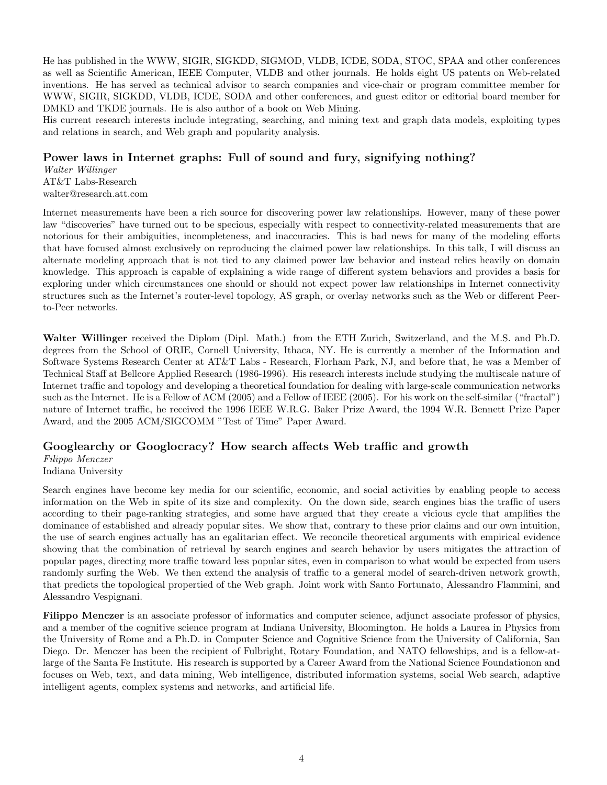He has published in the WWW, SIGIR, SIGKDD, SIGMOD, VLDB, ICDE, SODA, STOC, SPAA and other conferences as well as Scientific American, IEEE Computer, VLDB and other journals. He holds eight US patents on Web-related inventions. He has served as technical advisor to search companies and vice-chair or program committee member for WWW, SIGIR, SIGKDD, VLDB, ICDE, SODA and other conferences, and guest editor or editorial board member for DMKD and TKDE journals. He is also author of a book on Web Mining.

His current research interests include integrating, searching, and mining text and graph data models, exploiting types and relations in search, and Web graph and popularity analysis.

### Power laws in Internet graphs: Full of sound and fury, signifying nothing?

Walter Willinger AT&T Labs-Research walter@research.att.com

Internet measurements have been a rich source for discovering power law relationships. However, many of these power law "discoveries" have turned out to be specious, especially with respect to connectivity-related measurements that are notorious for their ambiguities, incompleteness, and inaccuracies. This is bad news for many of the modeling efforts that have focused almost exclusively on reproducing the claimed power law relationships. In this talk, I will discuss an alternate modeling approach that is not tied to any claimed power law behavior and instead relies heavily on domain knowledge. This approach is capable of explaining a wide range of different system behaviors and provides a basis for exploring under which circumstances one should or should not expect power law relationships in Internet connectivity structures such as the Internet's router-level topology, AS graph, or overlay networks such as the Web or different Peerto-Peer networks.

Walter Willinger received the Diplom (Dipl. Math.) from the ETH Zurich, Switzerland, and the M.S. and Ph.D. degrees from the School of ORIE, Cornell University, Ithaca, NY. He is currently a member of the Information and Software Systems Research Center at AT&T Labs - Research, Florham Park, NJ, and before that, he was a Member of Technical Staff at Bellcore Applied Research (1986-1996). His research interests include studying the multiscale nature of Internet traffic and topology and developing a theoretical foundation for dealing with large-scale communication networks such as the Internet. He is a Fellow of ACM (2005) and a Fellow of IEEE (2005). For his work on the self-similar ("fractal") nature of Internet traffic, he received the 1996 IEEE W.R.G. Baker Prize Award, the 1994 W.R. Bennett Prize Paper Award, and the 2005 ACM/SIGCOMM "Test of Time" Paper Award.

# Googlearchy or Googlocracy? How search affects Web traffic and growth

Filippo Menczer

Indiana University

Search engines have become key media for our scientific, economic, and social activities by enabling people to access information on the Web in spite of its size and complexity. On the down side, search engines bias the traffic of users according to their page-ranking strategies, and some have argued that they create a vicious cycle that amplifies the dominance of established and already popular sites. We show that, contrary to these prior claims and our own intuition, the use of search engines actually has an egalitarian effect. We reconcile theoretical arguments with empirical evidence showing that the combination of retrieval by search engines and search behavior by users mitigates the attraction of popular pages, directing more traffic toward less popular sites, even in comparison to what would be expected from users randomly surfing the Web. We then extend the analysis of traffic to a general model of search-driven network growth, that predicts the topological propertied of the Web graph. Joint work with Santo Fortunato, Alessandro Flammini, and Alessandro Vespignani.

Filippo Menczer is an associate professor of informatics and computer science, adjunct associate professor of physics, and a member of the cognitive science program at Indiana University, Bloomington. He holds a Laurea in Physics from the University of Rome and a Ph.D. in Computer Science and Cognitive Science from the University of California, San Diego. Dr. Menczer has been the recipient of Fulbright, Rotary Foundation, and NATO fellowships, and is a fellow-atlarge of the Santa Fe Institute. His research is supported by a Career Award from the National Science Foundationon and focuses on Web, text, and data mining, Web intelligence, distributed information systems, social Web search, adaptive intelligent agents, complex systems and networks, and artificial life.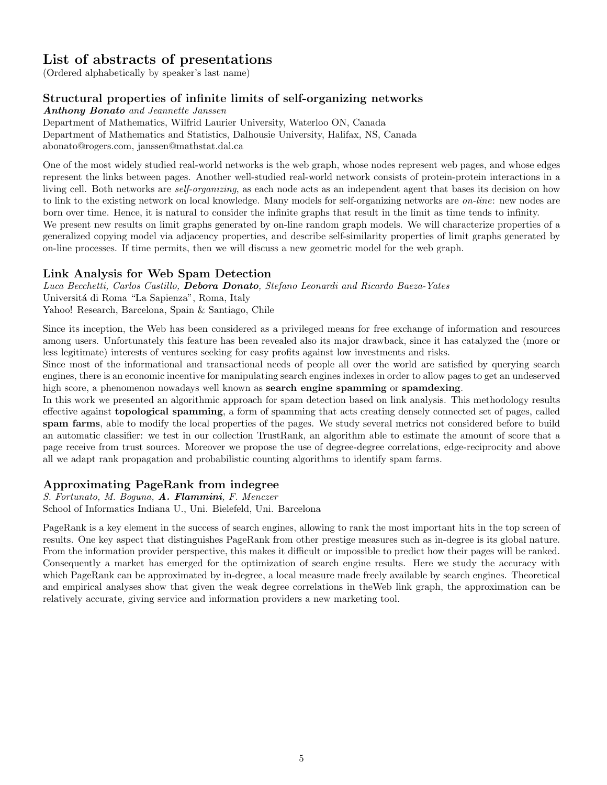# List of abstracts of presentations

(Ordered alphabetically by speaker's last name)

# Structural properties of infinite limits of self-organizing networks

Anthony Bonato and Jeannette Janssen

Department of Mathematics, Wilfrid Laurier University, Waterloo ON, Canada Department of Mathematics and Statistics, Dalhousie University, Halifax, NS, Canada abonato@rogers.com, janssen@mathstat.dal.ca

One of the most widely studied real-world networks is the web graph, whose nodes represent web pages, and whose edges represent the links between pages. Another well-studied real-world network consists of protein-protein interactions in a living cell. Both networks are *self-organizing*, as each node acts as an independent agent that bases its decision on how to link to the existing network on local knowledge. Many models for self-organizing networks are on-line: new nodes are born over time. Hence, it is natural to consider the infinite graphs that result in the limit as time tends to infinity.

We present new results on limit graphs generated by on-line random graph models. We will characterize properties of a generalized copying model via adjacency properties, and describe self-similarity properties of limit graphs generated by on-line processes. If time permits, then we will discuss a new geometric model for the web graph.

# Link Analysis for Web Spam Detection

Luca Becchetti, Carlos Castillo, Debora Donato, Stefano Leonardi and Ricardo Baeza-Yates Universit´a di Roma "La Sapienza", Roma, Italy Yahoo! Research, Barcelona, Spain & Santiago, Chile

Since its inception, the Web has been considered as a privileged means for free exchange of information and resources among users. Unfortunately this feature has been revealed also its major drawback, since it has catalyzed the (more or less legitimate) interests of ventures seeking for easy profits against low investments and risks.

Since most of the informational and transactional needs of people all over the world are satisfied by querying search engines, there is an economic incentive for manipulating search engines indexes in order to allow pages to get an undeserved high score, a phenomenon nowadays well known as **search engine spamming** or **spamdexing**.

In this work we presented an algorithmic approach for spam detection based on link analysis. This methodology results effective against topological spamming, a form of spamming that acts creating densely connected set of pages, called spam farms, able to modify the local properties of the pages. We study several metrics not considered before to build an automatic classifier: we test in our collection TrustRank, an algorithm able to estimate the amount of score that a page receive from trust sources. Moreover we propose the use of degree-degree correlations, edge-reciprocity and above all we adapt rank propagation and probabilistic counting algorithms to identify spam farms.

# Approximating PageRank from indegree

S. Fortunato, M. Boguna, A. Flammini, F. Menczer School of Informatics Indiana U., Uni. Bielefeld, Uni. Barcelona

PageRank is a key element in the success of search engines, allowing to rank the most important hits in the top screen of results. One key aspect that distinguishes PageRank from other prestige measures such as in-degree is its global nature. From the information provider perspective, this makes it difficult or impossible to predict how their pages will be ranked. Consequently a market has emerged for the optimization of search engine results. Here we study the accuracy with which PageRank can be approximated by in-degree, a local measure made freely available by search engines. Theoretical and empirical analyses show that given the weak degree correlations in theWeb link graph, the approximation can be relatively accurate, giving service and information providers a new marketing tool.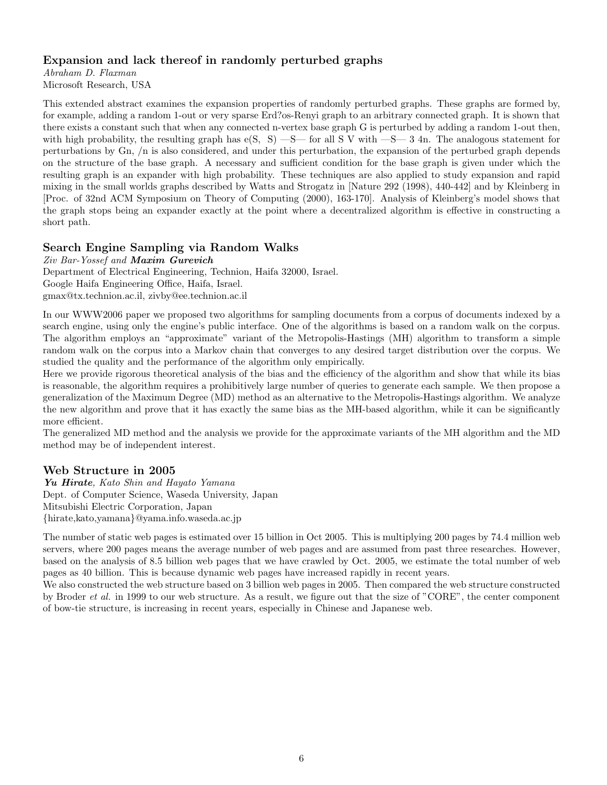### Expansion and lack thereof in randomly perturbed graphs

Abraham D. Flaxman Microsoft Research, USA

This extended abstract examines the expansion properties of randomly perturbed graphs. These graphs are formed by, for example, adding a random 1-out or very sparse Erd?os-Renyi graph to an arbitrary connected graph. It is shown that there exists a constant such that when any connected n-vertex base graph G is perturbed by adding a random 1-out then, with high probability, the resulting graph has  $e(S, S)$  —S— for all S V with —S— 3 4n. The analogous statement for perturbations by Gn, /n is also considered, and under this perturbation, the expansion of the perturbed graph depends on the structure of the base graph. A necessary and sufficient condition for the base graph is given under which the resulting graph is an expander with high probability. These techniques are also applied to study expansion and rapid mixing in the small worlds graphs described by Watts and Strogatz in [Nature 292 (1998), 440-442] and by Kleinberg in [Proc. of 32nd ACM Symposium on Theory of Computing (2000), 163-170]. Analysis of Kleinberg's model shows that the graph stops being an expander exactly at the point where a decentralized algorithm is effective in constructing a short path.

# Search Engine Sampling via Random Walks

Ziv Bar-Yossef and Maxim Gurevich Department of Electrical Engineering, Technion, Haifa 32000, Israel. Google Haifa Engineering Office, Haifa, Israel. gmax@tx.technion.ac.il, zivby@ee.technion.ac.il

In our WWW2006 paper we proposed two algorithms for sampling documents from a corpus of documents indexed by a search engine, using only the engine's public interface. One of the algorithms is based on a random walk on the corpus. The algorithm employs an "approximate" variant of the Metropolis-Hastings (MH) algorithm to transform a simple random walk on the corpus into a Markov chain that converges to any desired target distribution over the corpus. We studied the quality and the performance of the algorithm only empirically.

Here we provide rigorous theoretical analysis of the bias and the efficiency of the algorithm and show that while its bias is reasonable, the algorithm requires a prohibitively large number of queries to generate each sample. We then propose a generalization of the Maximum Degree (MD) method as an alternative to the Metropolis-Hastings algorithm. We analyze the new algorithm and prove that it has exactly the same bias as the MH-based algorithm, while it can be significantly more efficient.

The generalized MD method and the analysis we provide for the approximate variants of the MH algorithm and the MD method may be of independent interest.

#### Web Structure in 2005

Yu Hirate, Kato Shin and Hayato Yamana Dept. of Computer Science, Waseda University, Japan Mitsubishi Electric Corporation, Japan {hirate,kato,yamana}@yama.info.waseda.ac.jp

The number of static web pages is estimated over 15 billion in Oct 2005. This is multiplying 200 pages by 74.4 million web servers, where 200 pages means the average number of web pages and are assumed from past three researches. However, based on the analysis of 8.5 billion web pages that we have crawled by Oct. 2005, we estimate the total number of web pages as 40 billion. This is because dynamic web pages have increased rapidly in recent years.

We also constructed the web structure based on 3 billion web pages in 2005. Then compared the web structure constructed by Broder *et al.* in 1999 to our web structure. As a result, we figure out that the size of "CORE", the center component of bow-tie structure, is increasing in recent years, especially in Chinese and Japanese web.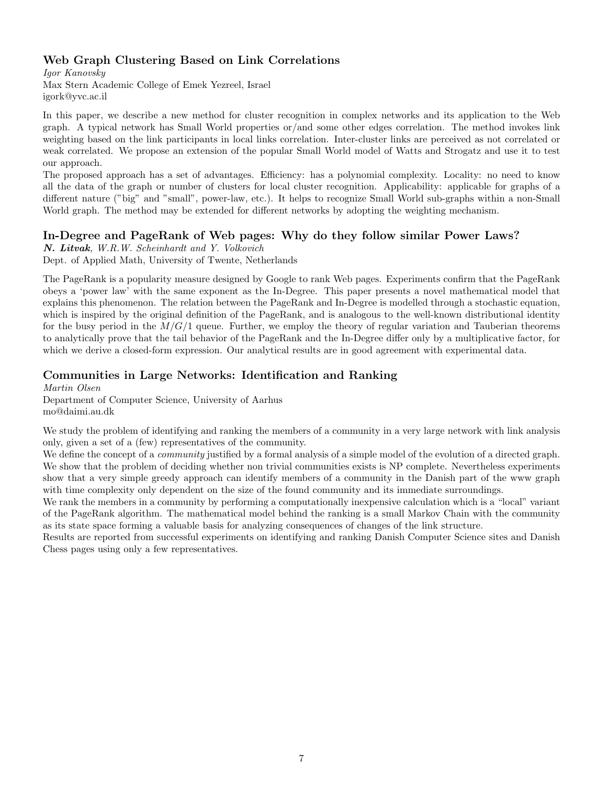# Web Graph Clustering Based on Link Correlations

Igor Kanovsky Max Stern Academic College of Emek Yezreel, Israel igork@yvc.ac.il

In this paper, we describe a new method for cluster recognition in complex networks and its application to the Web graph. A typical network has Small World properties or/and some other edges correlation. The method invokes link weighting based on the link participants in local links correlation. Inter-cluster links are perceived as not correlated or weak correlated. We propose an extension of the popular Small World model of Watts and Strogatz and use it to test our approach.

The proposed approach has a set of advantages. Efficiency: has a polynomial complexity. Locality: no need to know all the data of the graph or number of clusters for local cluster recognition. Applicability: applicable for graphs of a different nature ("big" and "small", power-law, etc.). It helps to recognize Small World sub-graphs within a non-Small World graph. The method may be extended for different networks by adopting the weighting mechanism.

# In-Degree and PageRank of Web pages: Why do they follow similar Power Laws?

N. Litvak, W.R.W. Scheinhardt and Y. Volkovich

Dept. of Applied Math, University of Twente, Netherlands

The PageRank is a popularity measure designed by Google to rank Web pages. Experiments confirm that the PageRank obeys a 'power law' with the same exponent as the In-Degree. This paper presents a novel mathematical model that explains this phenomenon. The relation between the PageRank and In-Degree is modelled through a stochastic equation, which is inspired by the original definition of the PageRank, and is analogous to the well-known distributional identity for the busy period in the  $M/G/1$  queue. Further, we employ the theory of regular variation and Tauberian theorems to analytically prove that the tail behavior of the PageRank and the In-Degree differ only by a multiplicative factor, for which we derive a closed-form expression. Our analytical results are in good agreement with experimental data.

# Communities in Large Networks: Identification and Ranking

Martin Olsen

Department of Computer Science, University of Aarhus mo@daimi.au.dk

We study the problem of identifying and ranking the members of a community in a very large network with link analysis only, given a set of a (few) representatives of the community.

We define the concept of a *community* justified by a formal analysis of a simple model of the evolution of a directed graph. We show that the problem of deciding whether non trivial communities exists is NP complete. Nevertheless experiments show that a very simple greedy approach can identify members of a community in the Danish part of the www graph with time complexity only dependent on the size of the found community and its immediate surroundings.

We rank the members in a community by performing a computationally inexpensive calculation which is a "local" variant of the PageRank algorithm. The mathematical model behind the ranking is a small Markov Chain with the community as its state space forming a valuable basis for analyzing consequences of changes of the link structure.

Results are reported from successful experiments on identifying and ranking Danish Computer Science sites and Danish Chess pages using only a few representatives.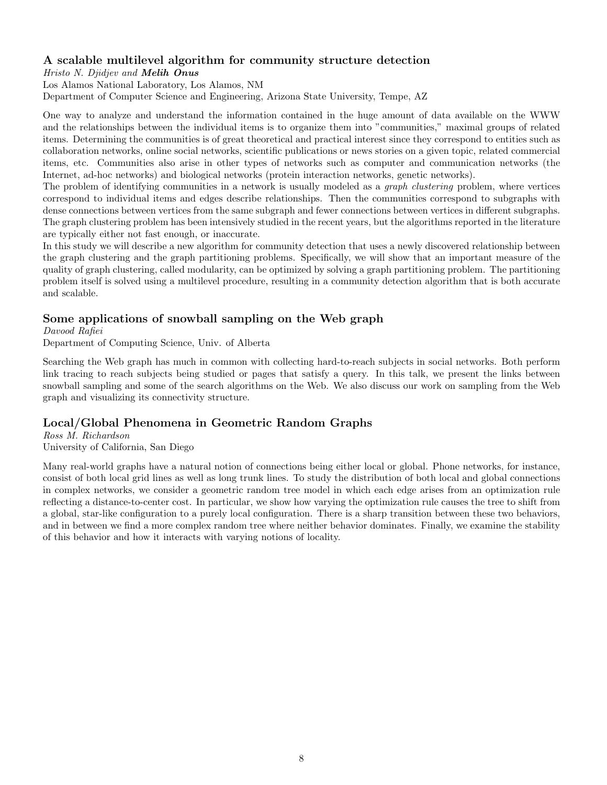# A scalable multilevel algorithm for community structure detection

#### Hristo N. Djidjev and Melih Onus

Los Alamos National Laboratory, Los Alamos, NM Department of Computer Science and Engineering, Arizona State University, Tempe, AZ

One way to analyze and understand the information contained in the huge amount of data available on the WWW and the relationships between the individual items is to organize them into "communities," maximal groups of related items. Determining the communities is of great theoretical and practical interest since they correspond to entities such as collaboration networks, online social networks, scientific publications or news stories on a given topic, related commercial items, etc. Communities also arise in other types of networks such as computer and communication networks (the Internet, ad-hoc networks) and biological networks (protein interaction networks, genetic networks).

The problem of identifying communities in a network is usually modeled as a *graph clustering* problem, where vertices correspond to individual items and edges describe relationships. Then the communities correspond to subgraphs with dense connections between vertices from the same subgraph and fewer connections between vertices in different subgraphs. The graph clustering problem has been intensively studied in the recent years, but the algorithms reported in the literature are typically either not fast enough, or inaccurate.

In this study we will describe a new algorithm for community detection that uses a newly discovered relationship between the graph clustering and the graph partitioning problems. Specifically, we will show that an important measure of the quality of graph clustering, called modularity, can be optimized by solving a graph partitioning problem. The partitioning problem itself is solved using a multilevel procedure, resulting in a community detection algorithm that is both accurate and scalable.

# Some applications of snowball sampling on the Web graph

Davood Rafiei

Department of Computing Science, Univ. of Alberta

Searching the Web graph has much in common with collecting hard-to-reach subjects in social networks. Both perform link tracing to reach subjects being studied or pages that satisfy a query. In this talk, we present the links between snowball sampling and some of the search algorithms on the Web. We also discuss our work on sampling from the Web graph and visualizing its connectivity structure.

# Local/Global Phenomena in Geometric Random Graphs

Ross M. Richardson University of California, San Diego

Many real-world graphs have a natural notion of connections being either local or global. Phone networks, for instance, consist of both local grid lines as well as long trunk lines. To study the distribution of both local and global connections in complex networks, we consider a geometric random tree model in which each edge arises from an optimization rule reflecting a distance-to-center cost. In particular, we show how varying the optimization rule causes the tree to shift from a global, star-like configuration to a purely local configuration. There is a sharp transition between these two behaviors, and in between we find a more complex random tree where neither behavior dominates. Finally, we examine the stability of this behavior and how it interacts with varying notions of locality.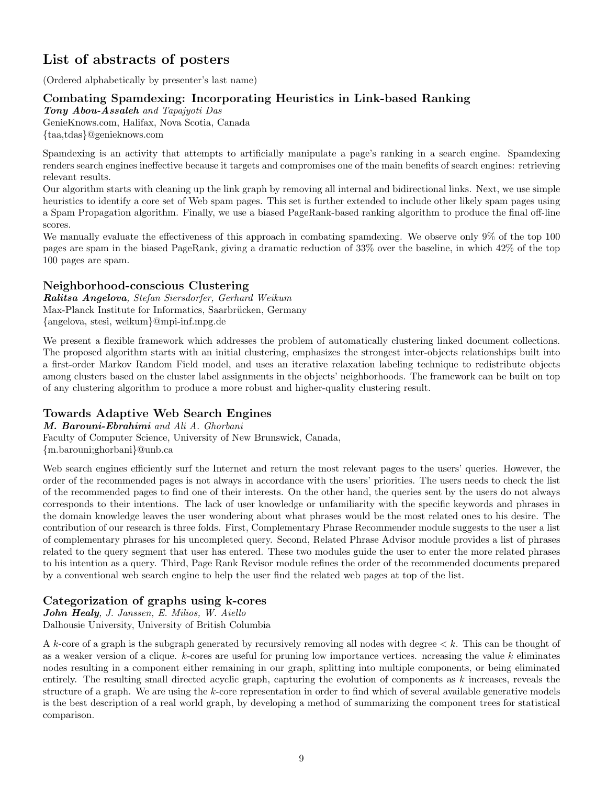# List of abstracts of posters

(Ordered alphabetically by presenter's last name)

# Combating Spamdexing: Incorporating Heuristics in Link-based Ranking

Tony Abou-Assaleh and Tapajyoti Das GenieKnows.com, Halifax, Nova Scotia, Canada {taa,tdas}@genieknows.com

Spamdexing is an activity that attempts to artificially manipulate a page's ranking in a search engine. Spamdexing renders search engines ineffective because it targets and compromises one of the main benefits of search engines: retrieving relevant results.

Our algorithm starts with cleaning up the link graph by removing all internal and bidirectional links. Next, we use simple heuristics to identify a core set of Web spam pages. This set is further extended to include other likely spam pages using a Spam Propagation algorithm. Finally, we use a biased PageRank-based ranking algorithm to produce the final off-line scores.

We manually evaluate the effectiveness of this approach in combating spamdexing. We observe only 9% of the top 100 pages are spam in the biased PageRank, giving a dramatic reduction of 33% over the baseline, in which 42% of the top 100 pages are spam.

# Neighborhood-conscious Clustering

Ralitsa Angelova, Stefan Siersdorfer, Gerhard Weikum Max-Planck Institute for Informatics, Saarbrücken, Germany {angelova, stesi, weikum}@mpi-inf.mpg.de

We present a flexible framework which addresses the problem of automatically clustering linked document collections. The proposed algorithm starts with an initial clustering, emphasizes the strongest inter-objects relationships built into a first-order Markov Random Field model, and uses an iterative relaxation labeling technique to redistribute objects among clusters based on the cluster label assignments in the objects' neighborhoods. The framework can be built on top of any clustering algorithm to produce a more robust and higher-quality clustering result.

# Towards Adaptive Web Search Engines

M. Barouni-Ebrahimi and Ali A. Ghorbani Faculty of Computer Science, University of New Brunswick, Canada, {m.barouni;ghorbani}@unb.ca

Web search engines efficiently surf the Internet and return the most relevant pages to the users' queries. However, the order of the recommended pages is not always in accordance with the users' priorities. The users needs to check the list of the recommended pages to find one of their interests. On the other hand, the queries sent by the users do not always corresponds to their intentions. The lack of user knowledge or unfamiliarity with the specific keywords and phrases in the domain knowledge leaves the user wondering about what phrases would be the most related ones to his desire. The contribution of our research is three folds. First, Complementary Phrase Recommender module suggests to the user a list of complementary phrases for his uncompleted query. Second, Related Phrase Advisor module provides a list of phrases related to the query segment that user has entered. These two modules guide the user to enter the more related phrases to his intention as a query. Third, Page Rank Revisor module refines the order of the recommended documents prepared by a conventional web search engine to help the user find the related web pages at top of the list.

# Categorization of graphs using k-cores

John Healy, J. Janssen, E. Milios, W. Aiello Dalhousie University, University of British Columbia

A k-core of a graph is the subgraph generated by recursively removing all nodes with degree  $\lt k$ . This can be thought of as a weaker version of a clique.  $k$ -cores are useful for pruning low importance vertices. ncreasing the value  $k$  eliminates nodes resulting in a component either remaining in our graph, splitting into multiple components, or being eliminated entirely. The resulting small directed acyclic graph, capturing the evolution of components as  $k$  increases, reveals the structure of a graph. We are using the  $k$ -core representation in order to find which of several available generative models is the best description of a real world graph, by developing a method of summarizing the component trees for statistical comparison.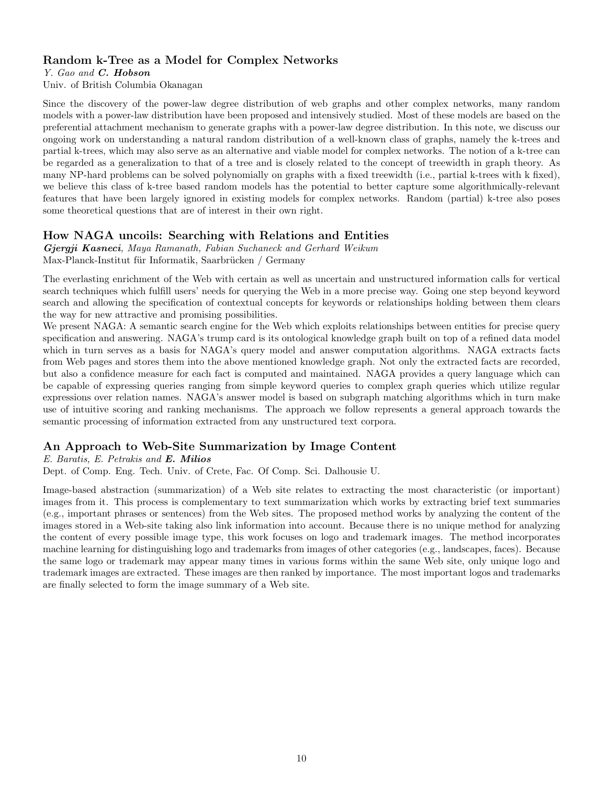### Random k-Tree as a Model for Complex Networks

Y. Gao and C. Hobson

Univ. of British Columbia Okanagan

Since the discovery of the power-law degree distribution of web graphs and other complex networks, many random models with a power-law distribution have been proposed and intensively studied. Most of these models are based on the preferential attachment mechanism to generate graphs with a power-law degree distribution. In this note, we discuss our ongoing work on understanding a natural random distribution of a well-known class of graphs, namely the k-trees and partial k-trees, which may also serve as an alternative and viable model for complex networks. The notion of a k-tree can be regarded as a generalization to that of a tree and is closely related to the concept of treewidth in graph theory. As many NP-hard problems can be solved polynomially on graphs with a fixed treewidth (i.e., partial k-trees with k fixed), we believe this class of k-tree based random models has the potential to better capture some algorithmically-relevant features that have been largely ignored in existing models for complex networks. Random (partial) k-tree also poses some theoretical questions that are of interest in their own right.

# How NAGA uncoils: Searching with Relations and Entities

Gjergji Kasneci, Maya Ramanath, Fabian Suchaneck and Gerhard Weikum Max-Planck-Institut für Informatik, Saarbrücken / Germany

The everlasting enrichment of the Web with certain as well as uncertain and unstructured information calls for vertical search techniques which fulfill users' needs for querying the Web in a more precise way. Going one step beyond keyword search and allowing the specification of contextual concepts for keywords or relationships holding between them clears the way for new attractive and promising possibilities.

We present NAGA: A semantic search engine for the Web which exploits relationships between entities for precise query specification and answering. NAGA's trump card is its ontological knowledge graph built on top of a refined data model which in turn serves as a basis for NAGA's query model and answer computation algorithms. NAGA extracts facts from Web pages and stores them into the above mentioned knowledge graph. Not only the extracted facts are recorded, but also a confidence measure for each fact is computed and maintained. NAGA provides a query language which can be capable of expressing queries ranging from simple keyword queries to complex graph queries which utilize regular expressions over relation names. NAGA's answer model is based on subgraph matching algorithms which in turn make use of intuitive scoring and ranking mechanisms. The approach we follow represents a general approach towards the semantic processing of information extracted from any unstructured text corpora.

# An Approach to Web-Site Summarization by Image Content

#### E. Baratis, E. Petrakis and E. Milios

Dept. of Comp. Eng. Tech. Univ. of Crete, Fac. Of Comp. Sci. Dalhousie U.

Image-based abstraction (summarization) of a Web site relates to extracting the most characteristic (or important) images from it. This process is complementary to text summarization which works by extracting brief text summaries (e.g., important phrases or sentences) from the Web sites. The proposed method works by analyzing the content of the images stored in a Web-site taking also link information into account. Because there is no unique method for analyzing the content of every possible image type, this work focuses on logo and trademark images. The method incorporates machine learning for distinguishing logo and trademarks from images of other categories (e.g., landscapes, faces). Because the same logo or trademark may appear many times in various forms within the same Web site, only unique logo and trademark images are extracted. These images are then ranked by importance. The most important logos and trademarks are finally selected to form the image summary of a Web site.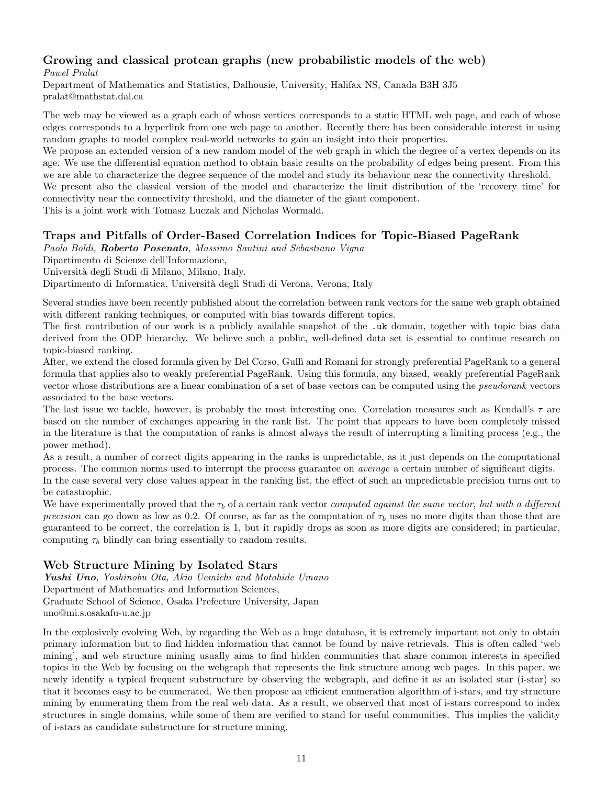# Growing and classical protean graphs (new probabilistic models of the web)

Pawel Pralat

Department of Mathematics and Statistics, Dalhousie, University, Halifax NS, Canada B3H 3J5 pralat@mathstat.dal.ca

The web may be viewed as a graph each of whose vertices corresponds to a static HTML web page, and each of whose edges corresponds to a hyperlink from one web page to another. Recently there has been considerable interest in using random graphs to model complex real-world networks to gain an insight into their properties.

We propose an extended version of a new random model of the web graph in which the degree of a vertex depends on its age. We use the differential equation method to obtain basic results on the probability of edges being present. From this we are able to characterize the degree sequence of the model and study its behaviour near the connectivity threshold.

We present also the classical version of the model and characterize the limit distribution of the 'recovery time' for connectivity near the connectivity threshold, and the diameter of the giant component.

This is a joint work with Tomasz Luczak and Nicholas Wormald.

# Traps and Pitfalls of Order-Based Correlation Indices for Topic-Biased PageRank

Paolo Boldi, Roberto Posenato, Massimo Santini and Sebastiano Vigna

Dipartimento di Scienze dell'Informazione,

Universit`a degli Studi di Milano, Milano, Italy.

Dipartimento di Informatica, Università degli Studi di Verona, Verona, Italy

Several studies have been recently published about the correlation between rank vectors for the same web graph obtained with different ranking techniques, or computed with bias towards different topics.

The first contribution of our work is a publicly available snapshot of the .uk domain, together with topic bias data derived from the ODP hierarchy. We believe such a public, well-defined data set is essential to continue research on topic-biased ranking.

After, we extend the closed formula given by Del Corso, Gullì and Romani for strongly preferential PageRank to a general formula that applies also to weakly preferential PageRank. Using this formula, any biased, weakly preferential PageRank vector whose distributions are a linear combination of a set of base vectors can be computed using the pseudorank vectors associated to the base vectors.

The last issue we tackle, however, is probably the most interesting one. Correlation measures such as Kendall's  $\tau$  are based on the number of exchanges appearing in the rank list. The point that appears to have been completely missed in the literature is that the computation of ranks is almost always the result of interrupting a limiting process (e.g., the power method).

As a result, a number of correct digits appearing in the ranks is unpredictable, as it just depends on the computational process. The common norms used to interrupt the process guarantee on average a certain number of significant digits. In the case several very close values appear in the ranking list, the effect of such an unpredictable precision turns out to be catastrophic.

We have experimentally proved that the  $\tau_b$  of a certain rank vector computed against the same vector, but with a different precision can go down as low as 0.2. Of course, as far as the computation of  $\tau_b$  uses no more digits than those that are guaranteed to be correct, the correlation is 1, but it rapidly drops as soon as more digits are considered; in particular, computing  $\tau_b$  blindly can bring essentially to random results.

# Web Structure Mining by Isolated Stars

Yushi Uno, Yoshinobu Ota, Akio Uemichi and Motohide Umano Department of Mathematics and Information Sciences, Graduate School of Science, Osaka Prefecture University, Japan uno@mi.s.osakafu-u.ac.jp

In the explosively evolving Web, by regarding the Web as a huge database, it is extremely important not only to obtain primary information but to find hidden information that cannot be found by naive retrievals. This is often called 'web mining', and web structure mining usually aims to find hidden communities that share common interests in specified topics in the Web by focusing on the webgraph that represents the link structure among web pages. In this paper, we newly identify a typical frequent substructure by observing the webgraph, and define it as an isolated star (i-star) so that it becomes easy to be enumerated. We then propose an efficient enumeration algorithm of i-stars, and try structure mining by enumerating them from the real web data. As a result, we observed that most of i-stars correspond to index structures in single domains, while some of them are verified to stand for useful communities. This implies the validity of i-stars as candidate substructure for structure mining.